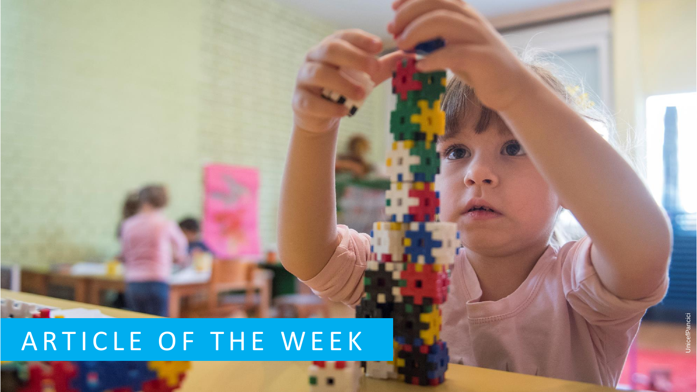#### ARTICLE OF THE WEEK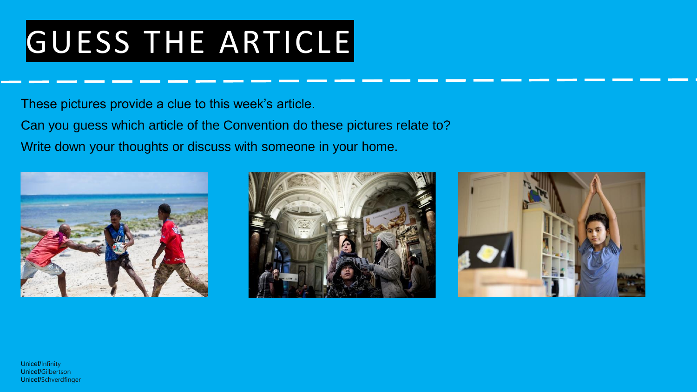# GUESS THE ARTICLE

These pictures provide a clue to this week's article.

Can you guess which article of the Convention do these pictures relate to? Write down your thoughts or discuss with someone in your home.







Unicef/Infinity Unicef/Gilbertson Unicef/Schverdfinger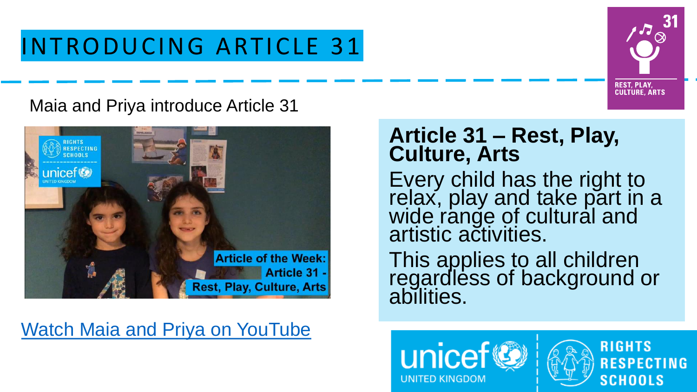#### INTRODUCING ARTICLE 31

# **REST, PLAY, CULTURE, ARTS**

#### Maia and Priya introduce Article 31



#### [Watch Maia and Priya on YouTube](https://youtu.be/sEUfidhTeEM)

#### **Article 31 – Rest, Play, Culture, Arts**

Every child has the right to relax, play and take part in a wide range of cultural and artistic activities.

This applies to all children regardless of background or abilities.



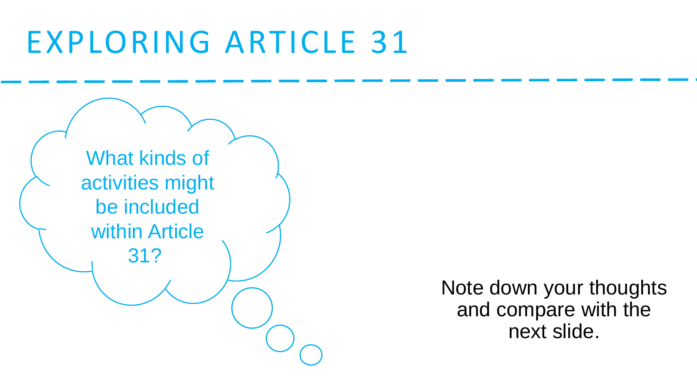### EXPLORING ARTICLE 31



Note down your thoughts and compare with the next slide.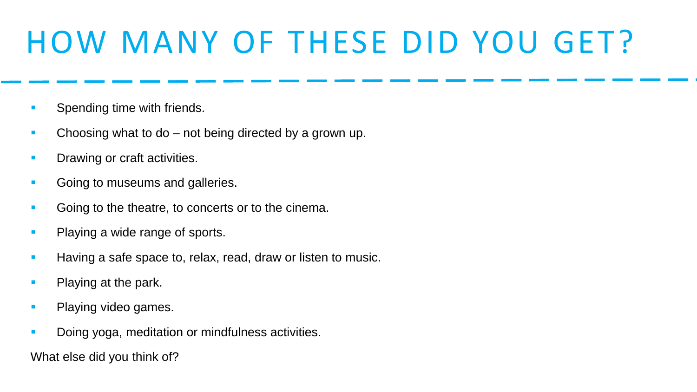# HOW MANY OF THESE DID YOU GET?

- Spending time with friends.
- Choosing what to do not being directed by a grown up.
- **Drawing or craft activities.**
- Going to museums and galleries.
- Going to the theatre, to concerts or to the cinema.
- **Playing a wide range of sports.**
- Having a safe space to, relax, read, draw or listen to music.
- Playing at the park.
- **Playing video games.**
- Doing yoga, meditation or mindfulness activities.

What else did you think of?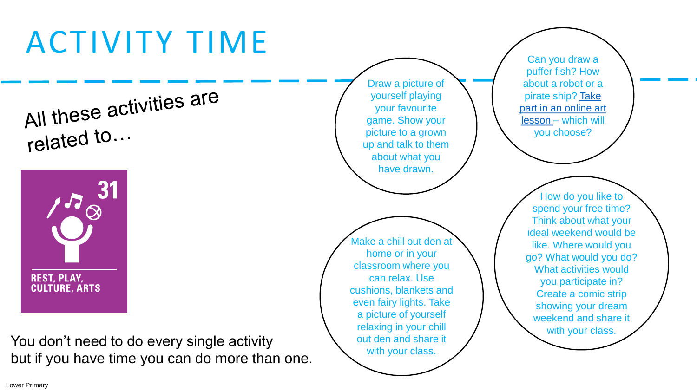# ACTIVITY TIME

All these activities are related to...



You don't need to do every single activity but if you have time you can do more than one.

Draw a picture of yourself playing your favourite game. Show your picture to a grown up and talk to them about what you have drawn.

Make a chill out den at home or in your classroom where you can relax. Use cushions, blankets and even fairy lights. Take a picture of yourself relaxing in your chill out den and share it with your class.

Can you draw a puffer fish? How about a robot or a pirate ship? Take [part in an online art](http://www.robbiddulph.com/draw-with-rob) lesson – which will you choose?

How do you like to spend your free time? Think about what your ideal weekend would be like. Where would you go? What would you do? What activities would you participate in? Create a comic strip showing your dream weekend and share it with your class.

Lower Primary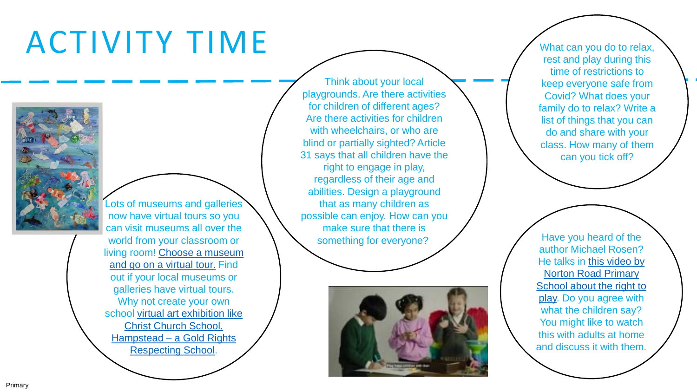### ACTIVITY TIME



Lots of museums and galleries now have virtual tours so you can visit museums all over the world from your classroom or li[ving room! Choose a museum](https://artsandculture.google.com/partner)  and go on a virtual tour. Find out if your local museums or galleries have virtual tours. Why not create your own s[chool virtual art exhibition like](https://artspaces.kunstmatrix.com/en/exhibition/3375987/cap-november-2020-big-art-and-examples-of-individual-art) Christ Church School, Hampstead – a Gold Rights Respecting School.

Think about your local playgrounds. Are there activities for children of different ages? Are there activities for children with wheelchairs, or who are blind or partially sighted? Article 31 says that all children have the right to engage in play, regardless of their age and abilities. Design a playground that as many children as possible can enjoy. How can you make sure that there is something for everyone?



What can you do to relax, rest and play during this time of restrictions to keep everyone safe from Covid? What does your family do to relax? Write a list of things that you can do and share with your class. How many of them can you tick off?

author Michael Rosen? He talks in this video by Norton Road Primary [School about the right to](https://youtu.be/-dGjaTWF3KY) play. Do you agree with what the children say? You might like to watch this with adults at home and discuss it with them.